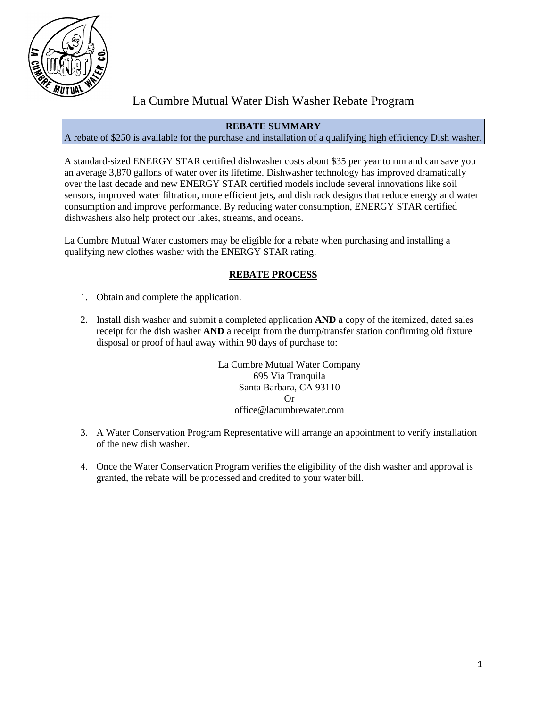

# La Cumbre Mutual Water Dish Washer Rebate Program

# **REBATE SUMMARY**

A rebate of \$250 is available for the purchase and installation of a qualifying high efficiency Dish washer.

A standard-sized ENERGY STAR certified dishwasher costs about \$35 per year to run and can save you an average 3,870 gallons of water over its lifetime. Dishwasher technology has improved dramatically over the last decade and new ENERGY STAR certified models include several innovations like soil sensors, improved water filtration, more efficient jets, and dish rack designs that reduce energy and water consumption and improve performance. By reducing water consumption, ENERGY STAR certified dishwashers also help protect our lakes, streams, and oceans.

La Cumbre Mutual Water customers may be eligible for a rebate when purchasing and installing a qualifying new clothes washer with the ENERGY STAR rating.

# **REBATE PROCESS**

- 1. Obtain and complete the application.
- 2. Install dish washer and submit a completed application **AND** a copy of the itemized, dated sales receipt for the dish washer **AND** a receipt from the dump/transfer station confirming old fixture disposal or proof of haul away within 90 days of purchase to:

La Cumbre Mutual Water Company 695 Via Tranquila Santa Barbara, CA 93110 Or office@lacumbrewater.com

- 3. A Water Conservation Program Representative will arrange an appointment to verify installation of the new dish washer.
- 4. Once the Water Conservation Program verifies the eligibility of the dish washer and approval is granted, the rebate will be processed and credited to your water bill.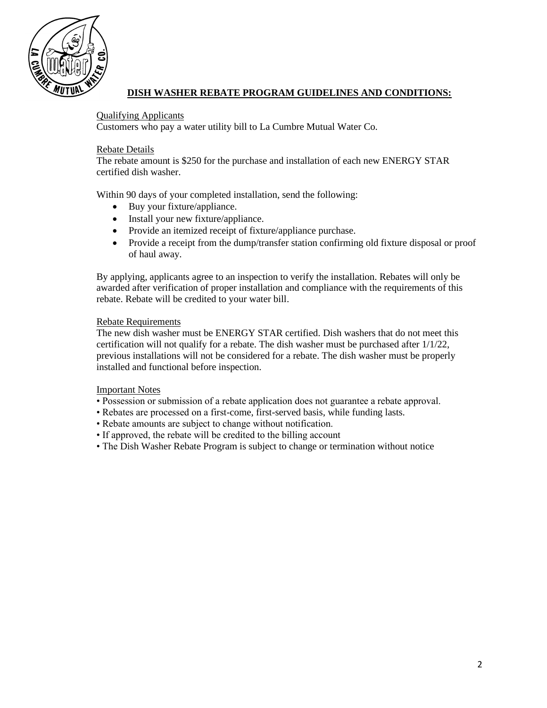

# **DISH WASHER REBATE PROGRAM GUIDELINES AND CONDITIONS:**

#### Qualifying Applicants

Customers who pay a water utility bill to La Cumbre Mutual Water Co.

#### Rebate Details

The rebate amount is \$250 for the purchase and installation of each new ENERGY STAR certified dish washer.

Within 90 days of your completed installation, send the following:

- Buy your fixture/appliance.
- Install your new fixture/appliance.
- Provide an itemized receipt of fixture/appliance purchase.
- Provide a receipt from the dump/transfer station confirming old fixture disposal or proof of haul away.

By applying, applicants agree to an inspection to verify the installation. Rebates will only be awarded after verification of proper installation and compliance with the requirements of this rebate. Rebate will be credited to your water bill.

#### Rebate Requirements

The new dish washer must be ENERGY STAR certified. Dish washers that do not meet this certification will not qualify for a rebate. The dish washer must be purchased after  $1/1/22$ , previous installations will not be considered for a rebate. The dish washer must be properly installed and functional before inspection.

#### Important Notes

- Possession or submission of a rebate application does not guarantee a rebate approval.
- Rebates are processed on a first-come, first-served basis, while funding lasts.
- Rebate amounts are subject to change without notification.
- If approved, the rebate will be credited to the billing account
- The Dish Washer Rebate Program is subject to change or termination without notice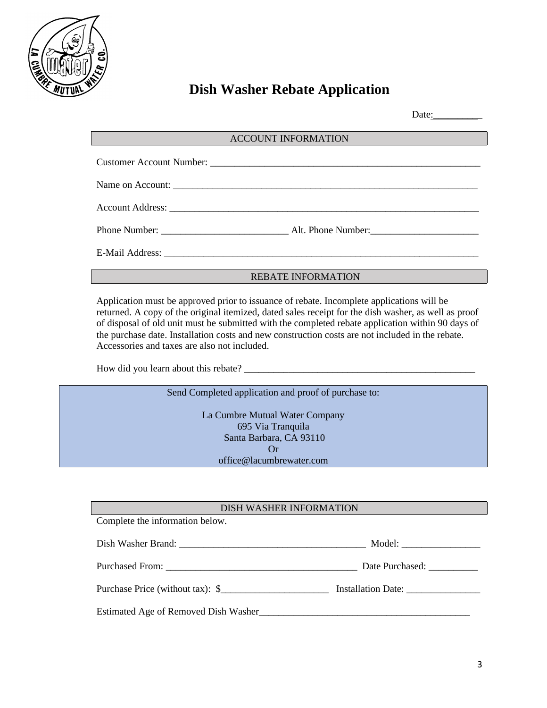

# **Dish Washer Rebate Application**

Date:

### ACCOUNT INFORMATION

| Name on Account: |  |
|------------------|--|
|                  |  |
|                  |  |
|                  |  |

#### REBATE INFORMATION

Application must be approved prior to issuance of rebate. Incomplete applications will be returned. A copy of the original itemized, dated sales receipt for the dish washer, as well as proof of disposal of old unit must be submitted with the completed rebate application within 90 days of the purchase date. Installation costs and new construction costs are not included in the rebate. Accessories and taxes are also not included.

How did you learn about this rebate? \_\_\_\_\_\_\_\_\_\_\_\_\_\_\_\_\_\_\_\_\_\_\_\_\_\_\_\_\_\_\_\_\_\_\_\_\_\_\_\_\_\_\_\_\_\_\_

Send Completed application and proof of purchase to:

La Cumbre Mutual Water Company 695 Via Tranquila Santa Barbara, CA 93110 Or office@lacumbrewater.com

#### DISH WASHER INFORMATION

Complete the information below.

| Dish Washer Brand:                   | Model:             |
|--------------------------------------|--------------------|
|                                      | Date Purchased:    |
| Purchase Price (without tax): $\$    | Installation Date: |
| Estimated Age of Removed Dish Washer |                    |